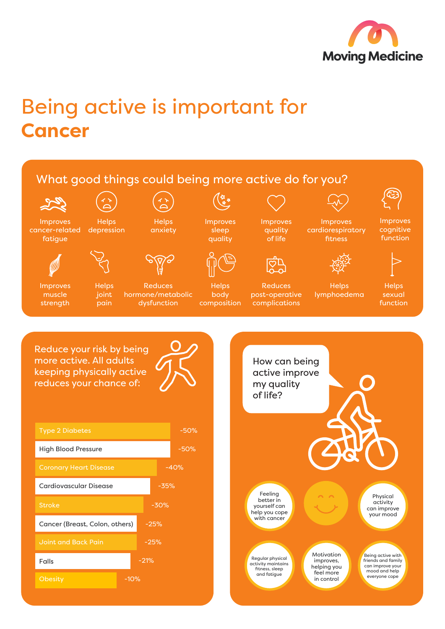

## Being active is important for **Cancer**